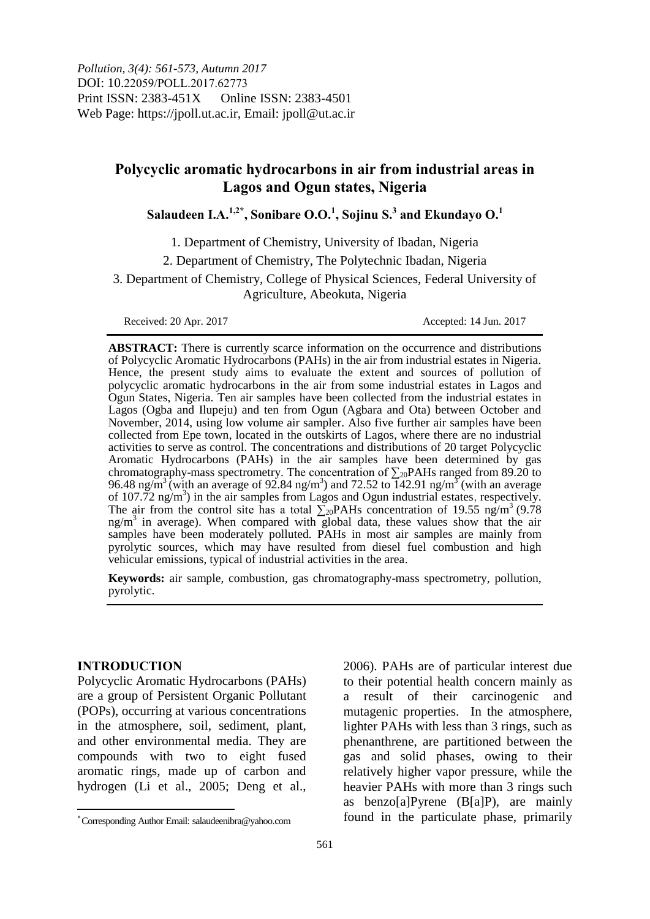# **Polycyclic aromatic hydrocarbons in air from industrial areas in Lagos and Ogun states, Nigeria**

**Salaudeen I.A.1,2\*, Sonibare O.O.<sup>1</sup> , Sojinu S.<sup>3</sup> and Ekundayo O.<sup>1</sup>**

1. Department of Chemistry, University of Ibadan, Nigeria

2. Department of Chemistry, The Polytechnic Ibadan, Nigeria

3. Department of Chemistry, College of Physical Sciences, Federal University of Agriculture, Abeokuta, Nigeria

Received: 20 Apr. 2017 <br>
Accepted: 14 Jun. 2017

**ABSTRACT:** There is currently scarce information on the occurrence and distributions of Polycyclic Aromatic Hydrocarbons (PAHs) in the air from industrial estates in Nigeria. Hence, the present study aims to evaluate the extent and sources of pollution of polycyclic aromatic hydrocarbons in the air from some industrial estates in Lagos and Ogun States, Nigeria. Ten air samples have been collected from the industrial estates in Lagos (Ogba and Ilupeju) and ten from Ogun (Agbara and Ota) between October and November, 2014, using low volume air sampler. Also five further air samples have been collected from Epe town, located in the outskirts of Lagos, where there are no industrial activities to serve as control. The concentrations and distributions of 20 target Polycyclic Aromatic Hydrocarbons (PAHs) in the air samples have been determined by gas chromatography-mass spectrometry. The concentration of  $\sum_{20}$ PAHs ranged from 89.20 to 96.48 ng/m<sup>3</sup> (with an average of 92.84 ng/m<sup>3</sup>) and 72.52 to  $\overline{142.91}$  ng/m<sup>3</sup> (with an average of 107.72 ng/m<sup>3</sup>) in the air samples from Lagos and Ogun industrial estates, respectively. The air from the control site has a total  $\sum_{20}$ PAHs concentration of 19.55 ng/m<sup>3</sup> (9.78)  $ng/m<sup>3</sup>$  in average). When compared with global data, these values show that the air samples have been moderately polluted. PAHs in most air samples are mainly from pyrolytic sources, which may have resulted from diesel fuel combustion and high vehicular emissions, typical of industrial activities in the area.

**Keywords:** air sample, combustion, gas chromatography-mass spectrometry, pollution, pyrolytic.

### **INTRODUCTION**

Polycyclic Aromatic Hydrocarbons (PAHs) are a group of Persistent Organic Pollutant (POPs), occurring at various concentrations in the atmosphere, soil, sediment, plant, and other environmental media. They are compounds with two to eight fused aromatic rings, made up of carbon and hydrogen (Li et al., 2005; Deng et al.,

2006). PAHs are of particular interest due to their potential health concern mainly as a result of their carcinogenic and mutagenic properties. In the atmosphere, lighter PAHs with less than 3 rings, such as phenanthrene, are partitioned between the gas and solid phases, owing to their relatively higher vapor pressure, while the heavier PAHs with more than 3 rings such as benzo[a]Pyrene (B[a]P), are mainly found in the particulate phase, primarily

Corresponding Author Email: salaudeenibra@yahoo.com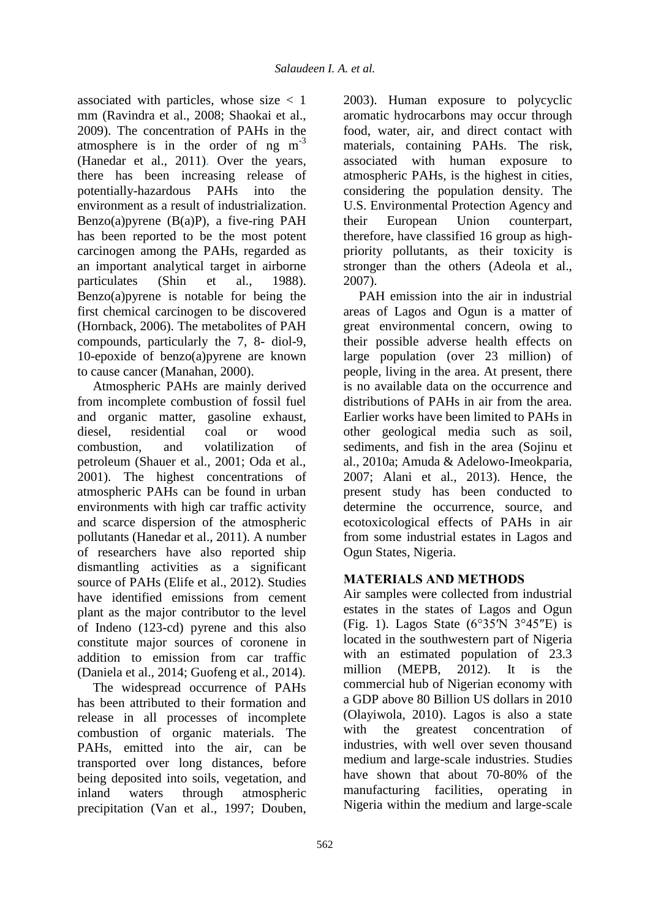associated with particles, whose size < 1 mm (Ravindra et al., 2008; Shaokai et al., 2009). The concentration of PAHs in the atmosphere is in the order of ng  $m^{-3}$ [\(Hanedar et al., 2011\)](#page-11-0). Over the years, there has been increasing release of potentially-hazardous PAHs into the environment as a result of industrialization. Benzo(a)pyrene (B(a)P), a five-ring PAH has been reported to be the most potent carcinogen among the PAHs, regarded as an important analytical target in airborne particulates [\(Shin et al., 1988\)](#page-12-0). Benzo(a)pyrene is notable for being the first chemical carcinogen to be discovered (Hornback, 2006). The metabolites of PAH compounds, particularly the 7, 8- diol-9, 10-epoxide of benzo(a)pyrene are known to cause cancer (Manahan, 2000).

Atmospheric PAHs are mainly derived from incomplete combustion of fossil fuel and organic matter, gasoline exhaust, diesel, residential coal or wood combustion, and volatilization of petroleum (Shauer et al., 2001; Oda et al., 2001). The highest concentrations of atmospheric PAHs can be found in urban environments with high car traffic activity and scarce dispersion of the atmospheric pollutants (Hanedar et al., 2011). A number of researchers have also reported ship dismantling activities as a significant source of PAHs (Elife et al., 2012). Studies have identified emissions from cement plant as the major contributor to the level of Indeno (123-cd) pyrene and this also constitute major sources of coronene in addition to emission from car traffic (Daniela et al., 2014; Guofeng et al., 2014).

The widespread occurrence of PAHs has been attributed to their formation and release in all processes of incomplete combustion of organic materials. The PAHs, emitted into the air, can be transported over long distances, before being deposited into soils, vegetation, and inland waters through atmospheric precipitation (Van et al., 1997; Douben,

2003). Human exposure to polycyclic aromatic hydrocarbons may occur through food, water, air, and direct contact with materials, containing PAHs. The risk, associated with human exposure to atmospheric PAHs, is the highest in cities, considering the population density. The U.S. Environmental Protection Agency and their European Union counterpart, therefore, have classified 16 group as highpriority pollutants, as their toxicity is stronger than the others (Adeola et al., 2007).

PAH emission into the air in industrial areas of Lagos and Ogun is a matter of great environmental concern, owing to their possible adverse health effects on large population (over 23 million) of people, living in the area. At present, there is no available data on the occurrence and distributions of PAHs in air from the area. Earlier works have been limited to PAHs in other geological media such as soil, sediments, and fish in the area (Sojinu et al., 2010a; Amuda & Adelowo-Imeokparia, 2007; Alani et al., 2013). Hence, the present study has been conducted to determine the occurrence, source, and ecotoxicological effects of PAHs in air from some industrial estates in Lagos and Ogun States, Nigeria.

## **MATERIALS AND METHODS**

Air samples were collected from industrial estates in the states of Lagos and Ogun (Fig. 1). Lagos State ( $6^{\circ}35'N$  3°45″E) is located in the southwestern part of Nigeria with an estimated population of 23.3 million (MEPB, 2012). It is the commercial hub of Nigerian economy with a GDP above 80 Billion US dollars in 2010 (Olayiwola, 2010). Lagos is also a state with the greatest concentration of industries, with well over seven thousand medium and large-scale industries. Studies have shown that about 70-80% of the manufacturing facilities, operating in Nigeria within the medium and large-scale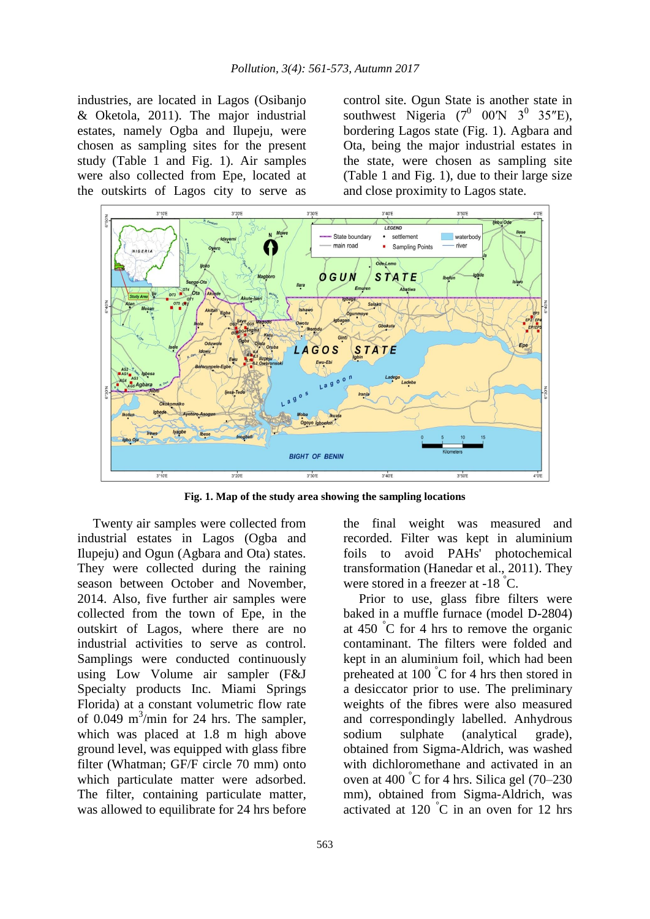industries, are located in Lagos (Osibanjo & Oketola, 2011). The major industrial estates, namely Ogba and Ilupeju, were chosen as sampling sites for the present study (Table 1 and Fig. 1). Air samples were also collected from Epe, located at the outskirts of Lagos city to serve as

control site. Ogun State is another state in southwest Nigeria  $(7^0$  00<sup>'</sup>N  $3^0$  35<sup>"</sup>E), bordering Lagos state (Fig. 1). Agbara and Ota, being the major industrial estates in the state, were chosen as sampling site (Table 1 and Fig. 1), due to their large size and close proximity to Lagos state.



**Fig. 1. Map of the study area showing the sampling locations**

Twenty air samples were collected from industrial estates in Lagos (Ogba and Ilupeju) and Ogun (Agbara and Ota) states. They were collected during the raining season between October and November, 2014. Also, five further air samples were collected from the town of Epe, in the outskirt of Lagos, where there are no industrial activities to serve as control. Samplings were conducted continuously using Low Volume air sampler (F&J Specialty products Inc. Miami Springs Florida) at a constant volumetric flow rate of 0.049 m<sup>3</sup>/min for 24 hrs. The sampler, which was placed at 1.8 m high above ground level, was equipped with glass fibre filter (Whatman; GF/F circle 70 mm) onto which particulate matter were adsorbed. The filter, containing particulate matter, was allowed to equilibrate for 24 hrs before

the final weight was measured and recorded. Filter was kept in aluminium foils to avoid PAHs' photochemical transformation (Hanedar et al., 2011). They were stored in a freezer at -18 °C.

Prior to use, glass fibre filters were baked in a muffle furnace (model D-2804) at 450 °C for 4 hrs to remove the organic contaminant. The filters were folded and kept in an aluminium foil, which had been preheated at 100 °C for 4 hrs then stored in a desiccator prior to use. The preliminary weights of the fibres were also measured and correspondingly labelled. Anhydrous sodium sulphate (analytical grade), obtained from Sigma-Aldrich, was washed with dichloromethane and activated in an oven at 400 °C for 4 hrs. Silica gel (70–230 mm), obtained from Sigma-Aldrich, was activated at 120  $\degree$ C in an oven for 12 hrs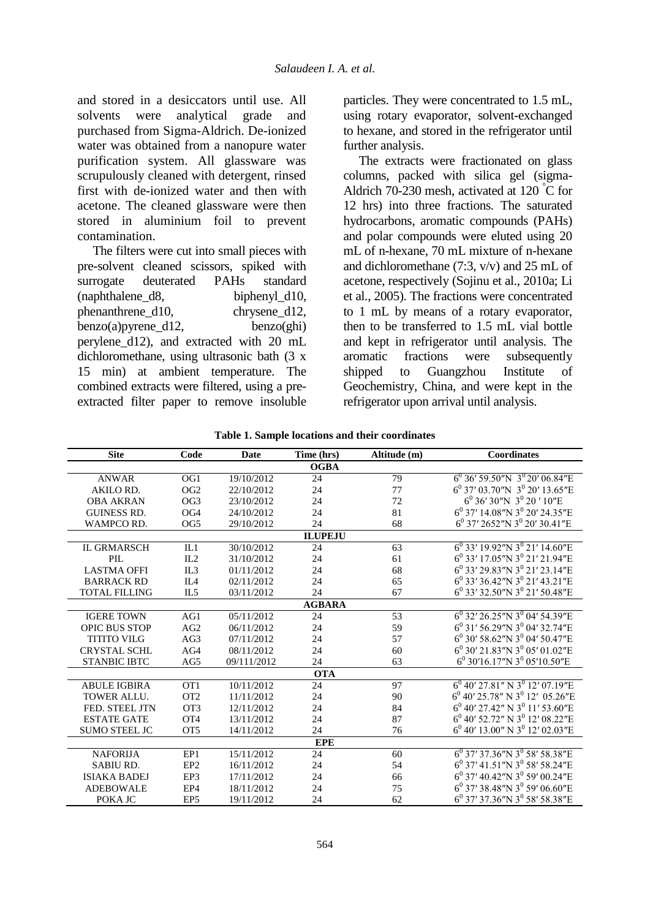and stored in a desiccators until use. All solvents were analytical grade and purchased from Sigma-Aldrich. De-ionized water was obtained from a nanopure water purification system. All glassware was scrupulously cleaned with detergent, rinsed first with de-ionized water and then with acetone. The cleaned glassware were then stored in aluminium foil to prevent contamination.

The filters were cut into small pieces with pre-solvent cleaned scissors, spiked with surrogate deuterated PAHs standard (naphthalene\_d8, biphenyl\_d10, phenanthrene\_d10, chrysene\_d12, benzo(a)pyrene\_d12, benzo(ghi) perylene\_d12), and extracted with 20 mL dichloromethane, using ultrasonic bath (3 x 15 min) at ambient temperature. The combined extracts were filtered, using a preextracted filter paper to remove insoluble particles. They were concentrated to 1.5 mL, using rotary evaporator, solvent-exchanged to hexane, and stored in the refrigerator until further analysis.

The extracts were fractionated on glass columns, packed with silica gel (sigma-Aldrich 70-230 mesh, activated at 120 °C for 12 hrs) into three fractions. The saturated hydrocarbons, aromatic compounds (PAHs) and polar compounds were eluted using 20 mL of n-hexane, 70 mL mixture of n-hexane and dichloromethane (7:3, v/v) and 25 mL of acetone, respectively (Sojinu et al., 2010a; Li et al., 2005). The fractions were concentrated to 1 mL by means of a rotary evaporator, then to be transferred to 1.5 mL vial bottle and kept in refrigerator until analysis. The aromatic fractions were subsequently shipped to Guangzhou Institute of Geochemistry, China, and were kept in the refrigerator upon arrival until analysis.

| <b>Site</b>          | Code            | Date        | Time (hrs)     | Altitude (m) | Coordinates                                           |  |  |  |
|----------------------|-----------------|-------------|----------------|--------------|-------------------------------------------------------|--|--|--|
| <b>OGBA</b>          |                 |             |                |              |                                                       |  |  |  |
| <b>ANWAR</b>         | OG1             | 19/10/2012  | 24             | 79           | $6^0$ 36' 59.50"N 3 <sup>0</sup> 20' 06.84"E          |  |  |  |
| AKILO RD.            | OG <sub>2</sub> | 22/10/2012  | 24             | 77           | $6^0$ 37' 03.70"N 3 <sup>0</sup> 20' 13.65"E          |  |  |  |
| <b>OBA AKRAN</b>     | OG <sub>3</sub> | 23/10/2012  | 24             | 72           | $6^0$ 36' 30"N 3 <sup>0</sup> 20' 10"E                |  |  |  |
| <b>GUINESS RD.</b>   | OG <sub>4</sub> | 24/10/2012  | 24             | 81           | $6^0$ 37' 14.08"N 3 <sup>0</sup> 20' 24.35"E          |  |  |  |
| WAMPCO RD.           | OG <sub>5</sub> | 29/10/2012  | 24             | 68           | $6^0$ 37' 2652"N 3 <sup>0</sup> 20' 30.41"E           |  |  |  |
|                      |                 |             | <b>ILUPEJU</b> |              |                                                       |  |  |  |
| <b>IL GRMARSCH</b>   | IL1             | 30/10/2012  | 24             | 63           | $6^0$ 33' 19.92"N 3 <sup>0</sup> 21' 14.60"E          |  |  |  |
| PIL.                 | IL2             | 31/10/2012  | 24             | 61           | $6^0$ 33' 17.05"N 3 <sup>0</sup> 21' 21.94"E          |  |  |  |
| <b>LASTMA OFFI</b>   | IL3             | 01/11/2012  | 24             | 68           | 6 <sup>0</sup> 33' 29.83"N 3 <sup>0</sup> 21' 23.14"E |  |  |  |
| <b>BARRACK RD</b>    | IL <sub>4</sub> | 02/11/2012  | 24             | 65           | 6 <sup>0</sup> 33' 36.42"N 3 <sup>0</sup> 21' 43.21"E |  |  |  |
| <b>TOTAL FILLING</b> | IL5             | 03/11/2012  | 24             | 67           | $6^0$ 33' 32.50"N 3 <sup>0</sup> 21' 50.48"E          |  |  |  |
|                      |                 |             | <b>AGBARA</b>  |              |                                                       |  |  |  |
| <b>IGERE TOWN</b>    | AG1             | 05/11/2012  | 24             | 53           | $6^{0}$ 32' 26.25"N $\overline{3^{0}$ 04' 54.39"E     |  |  |  |
| <b>OPIC BUS STOP</b> | AG2             | 06/11/2012  | 24             | 59           | $6^0$ 31' 56.29"N 3 <sup>0</sup> 04' 32.74"E          |  |  |  |
| <b>TITITO VILG</b>   | AG3             | 07/11/2012  | 24             | 57           | $6^0$ 30' 58.62"N 3 <sup>0</sup> 04' 50.47"E          |  |  |  |
| <b>CRYSTAL SCHL</b>  | AG4             | 08/11/2012  | 24             | 60           | $6^{\circ}$ 30' 21.83"N 3 <sup>0</sup> 05' 01.02"E    |  |  |  |
| <b>STANBIC IBTC</b>  | AG5             | 09/111/2012 | 24             | 63           | $6^0$ 30'16.17"N 3 <sup>0</sup> 05'10.50"E            |  |  |  |
| <b>OTA</b>           |                 |             |                |              |                                                       |  |  |  |
| <b>ABULE IGBIRA</b>  | OT1             | 10/11/2012  | 24             | 97           | $6^0$ 40' 27.81" N 3 <sup>0</sup> 12' 07.19"E         |  |  |  |
| <b>TOWER ALLU.</b>   | OT <sub>2</sub> | 11/11/2012  | 24             | 90           | $6^0$ 40' 25.78" N 3 <sup>0</sup> 12' 05.26"E         |  |  |  |
| FED. STEEL JTN       | OT <sub>3</sub> | 12/11/2012  | 24             | 84           | $6^0$ 40' 27.42" N 3 <sup>0</sup> 11' 53.60"E         |  |  |  |
| <b>ESTATE GATE</b>   | OT <sub>4</sub> | 13/11/2012  | 24             | 87           | $6^0$ 40' 52.72" N 3 <sup>0</sup> 12' 08.22" E        |  |  |  |
| <b>SUMO STEEL JC</b> | OT <sub>5</sub> | 14/11/2012  | 24             | 76           | $6^0$ 40' 13.00" N $3^0$ 12' 02.03"<br>E              |  |  |  |
| <b>EPE</b>           |                 |             |                |              |                                                       |  |  |  |
| <b>NAFORIJA</b>      | EP1             | 15/11/2012  | 24             | 60           | $6^{0}$ 37' 37.36"N 3 <sup>0</sup> 58' 58.38"E        |  |  |  |
| <b>SABIU RD.</b>     | EP <sub>2</sub> | 16/11/2012  | 24             | 54           | $6^0$ 37' 41.51"N 3 <sup>0</sup> 58' 58.24"E          |  |  |  |
| <b>ISIAKA BADEJ</b>  | EP3             | 17/11/2012  | 24             | 66           | $6^0$ 37' 40.42"N 3 <sup>0</sup> 59' 00.24"E          |  |  |  |
| <b>ADEBOWALE</b>     | EP4             | 18/11/2012  | 24             | 75           | $6^0$ 37' 38.48"N 3 <sup>0</sup> 59' 06.60"E          |  |  |  |
| POKA JC              | EP <sub>5</sub> | 19/11/2012  | 24             | 62           | $6^0$ 37' 37.36"N 3 <sup>0</sup> 58' 58.38"E          |  |  |  |

**Table 1. Sample locations and their coordinates**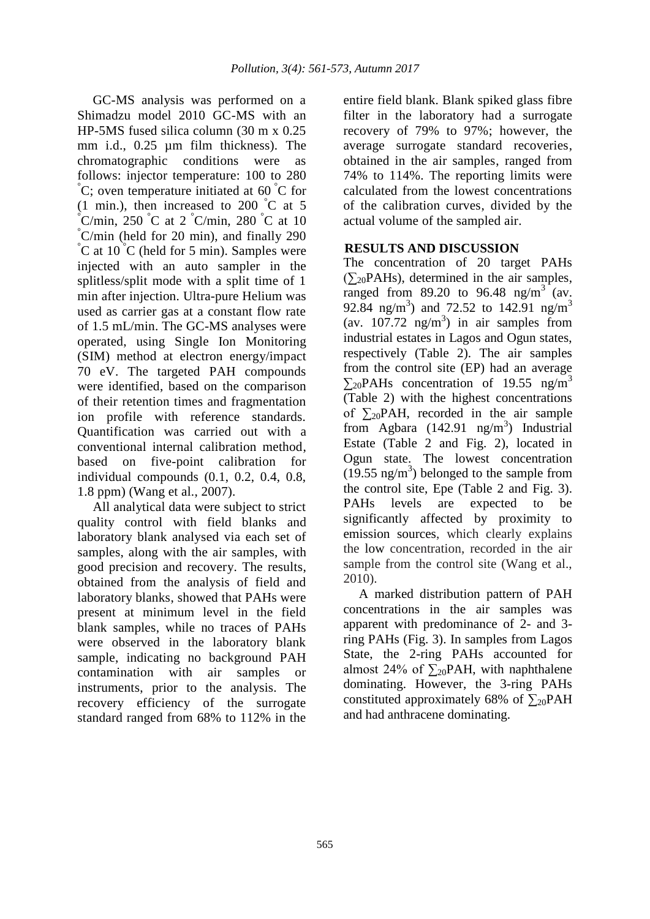GC-MS analysis was performed on a Shimadzu model 2010 GC-MS with an HP-5MS fused silica column (30 m x 0.25 mm i.d., 0.25 µm film thickness). The chromatographic conditions were as follows: injector temperature: 100 to 280  $\rm^{\circ}C$ ; oven temperature initiated at 60  $\rm^{\circ}C$  for (1 min.), then increased to 200  $\degree$ C at 5  $\mathrm{C/min}$ , 250  $\mathrm{C}$  at 2  $\mathrm{C/min}$ , 280  $\mathrm{C}$  at 10 °C/min (held for 20 min), and finally 290  $\rm^{\circ}C$  at 10  $\rm^{\circ}C$  (held for 5 min). Samples were injected with an auto sampler in the splitless/split mode with a split time of 1 min after injection. Ultra-pure Helium was used as carrier gas at a constant flow rate of 1.5 mL/min. The GC-MS analyses were operated, using Single Ion Monitoring (SIM) method at electron energy/impact 70 eV. The targeted PAH compounds were identified, based on the comparison of their retention times and fragmentation ion profile with reference standards. Quantification was carried out with a conventional internal calibration method, based on five-point calibration for individual compounds (0.1, 0.2, 0.4, 0.8, 1.8 ppm) (Wang et al., 2007).

All analytical data were subject to strict quality control with field blanks and laboratory blank analysed via each set of samples, along with the air samples, with good precision and recovery. The results, obtained from the analysis of field and laboratory blanks, showed that PAHs were present at minimum level in the field blank samples, while no traces of PAHs were observed in the laboratory blank sample, indicating no background PAH contamination with air samples or instruments, prior to the analysis. The recovery efficiency of the surrogate standard ranged from 68% to 112% in the

entire field blank. Blank spiked glass fibre filter in the laboratory had a surrogate recovery of 79% to 97%; however, the average surrogate standard recoveries, obtained in the air samples, ranged from 74% to 114%. The reporting limits were calculated from the lowest concentrations of the calibration curves, divided by the actual volume of the sampled air.

## **RESULTS AND DISCUSSION**

The concentration of 20 target PAHs  $(\sum_{20} PAHs)$ , determined in the air samples, ranged from 89.20 to 96.48 ng/m<sup>3</sup> (av. 92.84 ng/m<sup>3</sup>) and 72.52 to 142.91 ng/m<sup>3</sup> (av.  $107.72 \text{ ng/m}^3$ ) in air samples from industrial estates in Lagos and Ogun states, respectively (Table 2). The air samples from the control site (EP) had an average  $\Sigma_{20}$ PAHs concentration of 19.55 ng/m<sup>3</sup> (Table 2) with the highest concentrations of  $\Sigma_{20}$ PAH, recorded in the air sample from Agbara (142.91 ng/m<sup>3</sup>) Industrial Estate (Table 2 and Fig. 2), located in Ogun state. The lowest concentration  $(19.55 \text{ ng/m}^3)$  belonged to the sample from the control site, Epe (Table 2 and Fig. 3). PAHs levels are expected to be significantly affected by proximity to emission sources, which clearly explains the low concentration, recorded in the air sample from the control site (Wang et al., 2010).

A marked distribution pattern of PAH concentrations in the air samples was apparent with predominance of 2- and 3 ring PAHs (Fig. 3). In samples from Lagos State, the 2-ring PAHs accounted for almost 24% of  $\Sigma_{20}$ PAH, with naphthalene dominating. However, the 3-ring PAHs constituted approximately 68% of  $\Sigma_{20}PAH$ and had anthracene dominating.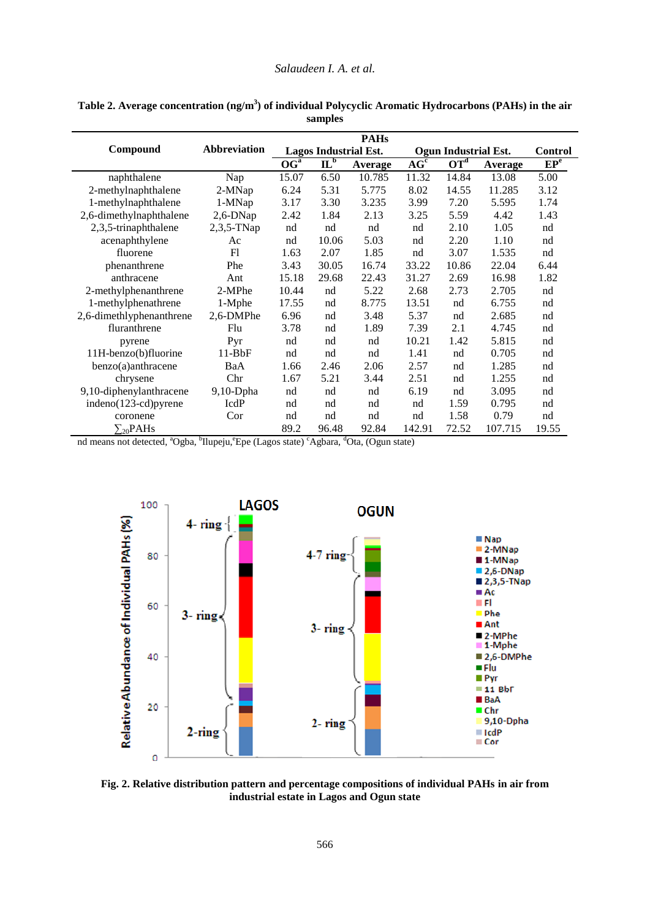### *Salaudeen I. A. et al.*

|                          |                     | <b>PAHs</b>                  |                                 |         |                      |                                   |         |                 |
|--------------------------|---------------------|------------------------------|---------------------------------|---------|----------------------|-----------------------------------|---------|-----------------|
| Compound                 | <b>Abbreviation</b> | <b>Lagos Industrial Est.</b> |                                 |         | Ogun Industrial Est. |                                   |         | <b>Control</b>  |
|                          |                     | OG <sup>a</sup>              | $\mathbf{I}\mathbf{\Gamma}_{p}$ | Average | AG <sup>c</sup>      | $\overline{\text{OT}}^{\text{d}}$ | Average | EP <sup>e</sup> |
| naphthalene              | Nap                 | 15.07                        | 6.50                            | 10.785  | 11.32                | 14.84                             | 13.08   | 5.00            |
| 2-methylnaphthalene      | 2-MNap              | 6.24                         | 5.31                            | 5.775   | 8.02                 | 14.55                             | 11.285  | 3.12            |
| 1-methylnaphthalene      | 1-MNap              | 3.17                         | 3.30                            | 3.235   | 3.99                 | 7.20                              | 5.595   | 1.74            |
| 2,6-dimethylnaphthalene  | $2,6$ -DNap         | 2.42                         | 1.84                            | 2.13    | 3.25                 | 5.59                              | 4.42    | 1.43            |
| 2,3,5-trinaphthalene     | $2,3,5$ -TNap       | nd                           | nd                              | nd      | nd                   | 2.10                              | 1.05    | nd              |
| acenaphthylene           | Ac                  | nd                           | 10.06                           | 5.03    | nd                   | 2.20                              | 1.10    | nd              |
| fluorene                 | F1                  | 1.63                         | 2.07                            | 1.85    | nd                   | 3.07                              | 1.535   | nd              |
| phenanthrene             | Phe                 | 3.43                         | 30.05                           | 16.74   | 33.22                | 10.86                             | 22.04   | 6.44            |
| anthracene               | Ant                 | 15.18                        | 29.68                           | 22.43   | 31.27                | 2.69                              | 16.98   | 1.82            |
| 2-methylphenanthrene     | 2-MPhe              | 10.44                        | nd                              | 5.22    | 2.68                 | 2.73                              | 2.705   | nd              |
| 1-methylphenathrene      | 1-Mphe              | 17.55                        | nd                              | 8.775   | 13.51                | nd                                | 6.755   | nd              |
| 2,6-dimethlyphenanthrene | 2,6-DMPhe           | 6.96                         | nd                              | 3.48    | 5.37                 | nd                                | 2.685   | nd              |
| fluranthrene             | Flu                 | 3.78                         | nd                              | 1.89    | 7.39                 | 2.1                               | 4.745   | nd              |
| pyrene                   | Pyr                 | nd                           | nd                              | nd      | 10.21                | 1.42                              | 5.815   | nd              |
| 11H-benzo(b)fluorine     | $11-BbF$            | nd                           | nd                              | nd      | 1.41                 | nd                                | 0.705   | nd              |
| benzo(a)anthracene       | BaA                 | 1.66                         | 2.46                            | 2.06    | 2.57                 | nd                                | 1.285   | nd              |
| chrysene                 | Chr                 | 1.67                         | 5.21                            | 3.44    | 2.51                 | nd                                | 1.255   | nd              |
| 9,10-diphenylanthracene  | $9,10$ -Dpha        | nd                           | nd                              | nd      | 6.19                 | nd                                | 3.095   | nd              |
| indeno(123-cd)pyrene     | IcdP                | nd                           | nd                              | nd      | nd                   | 1.59                              | 0.795   | nd              |
| coronene                 | Cor                 | nd                           | nd                              | nd      | nd                   | 1.58                              | 0.79    | nd              |
| $\Sigma_{20}$ PAHs       |                     | 89.2                         | 96.48                           | 92.84   | 142.91               | 72.52                             | 107.715 | 19.55           |

| Table 2. Average concentration $(ng/m3)$ of individual Polycyclic Aromatic Hydrocarbons (PAHs) in the air |         |  |
|-----------------------------------------------------------------------------------------------------------|---------|--|
|                                                                                                           | samples |  |

nd means not detected, <sup>a</sup>Ogba, <sup>b</sup>Ilupeju, <sup>e</sup>Epe (Lagos state) <sup>c</sup>Agbara, <sup>d</sup>Ota, (Ogun state)



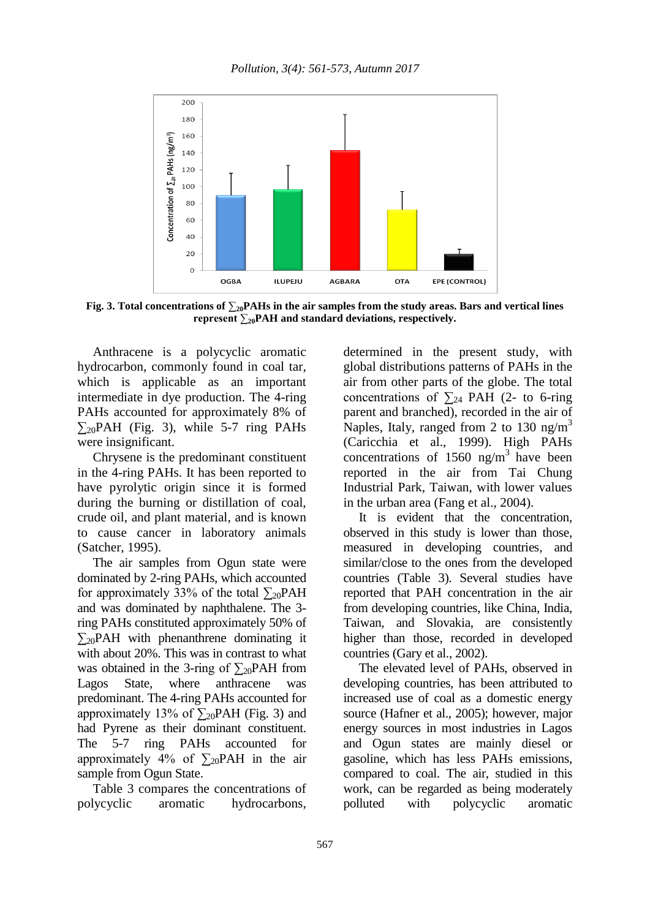

**Fig. 3.** Total concentrations of  $\sum_{20}$ **PAHs** in the air samples from the study areas. Bars and vertical lines **represent ∑20PAH and standard deviations, respectively.**

Anthracene is a polycyclic aromatic hydrocarbon, commonly found in coal tar, which is applicable as an important intermediate in dye production. The 4-ring PAHs accounted for approximately 8% of  $\Sigma_{20}$ PAH (Fig. 3), while 5-7 ring PAHs were insignificant.

Chrysene is the predominant constituent in the 4-ring PAHs. It has been reported to have pyrolytic origin since it is formed during the burning or distillation of coal, crude oil, and plant material, and is known to cause cancer in laboratory animals (Satcher, 1995).

The air samples from Ogun state were dominated by 2-ring PAHs, which accounted for approximately 33% of the total  $\Sigma_{20}$ PAH and was dominated by naphthalene. The 3 ring PAHs constituted approximately 50% of  $\Sigma_{20}$ PAH with phenanthrene dominating it with about 20%. This was in contrast to what was obtained in the 3-ring of  $\Sigma_{20}$ PAH from Lagos State, where anthracene was predominant. The 4-ring PAHs accounted for approximately 13% of  $\Sigma_{20}$ PAH (Fig. 3) and had Pyrene as their dominant constituent. The 5-7 ring PAHs accounted for approximately 4% of  $\Sigma_{20}$ PAH in the air sample from Ogun State.

Table 3 compares the concentrations of polycyclic aromatic hydrocarbons, determined in the present study, with global distributions patterns of PAHs in the air from other parts of the globe. The total concentrations of  $\sum_{24}$  PAH (2- to 6-ring parent and branched), recorded in the air of Naples, Italy, ranged from 2 to 130  $\text{ng/m}^3$ (Caricchia et al., 1999). High PAHs concentrations of 1560 ng/m<sup>3</sup> have been reported in the air from Tai Chung Industrial Park, Taiwan, with lower values in the urban area (Fang et al., 2004).

It is evident that the concentration, observed in this study is lower than those, measured in developing countries, and similar/close to the ones from the developed countries (Table 3). Several studies have reported that PAH concentration in the air from developing countries, like China, India, Taiwan, and Slovakia, are consistently higher than those, recorded in developed countries (Gary et al., 2002).

The elevated level of PAHs, observed in developing countries, has been attributed to increased use of coal as a domestic energy source (Hafner et al., 2005); however, major energy sources in most industries in Lagos and Ogun states are mainly diesel or gasoline, which has less PAHs emissions, compared to coal. The air, studied in this work, can be regarded as being moderately polluted with polycyclic aromatic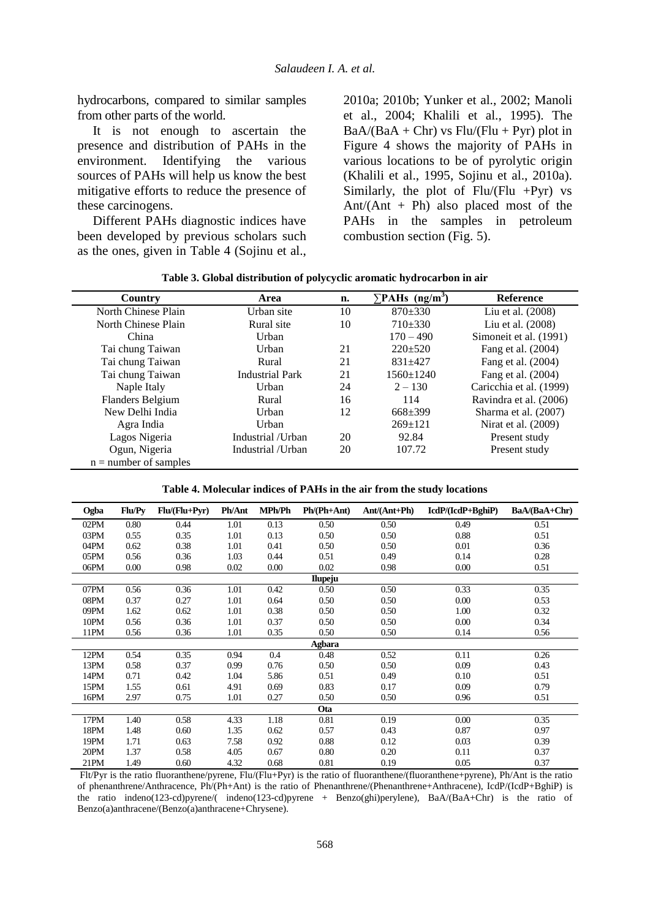hydrocarbons, compared to similar samples from other parts of the world.

It is not enough to ascertain the presence and distribution of PAHs in the environment. Identifying the various sources of PAHs will help us know the best mitigative efforts to reduce the presence of these carcinogens.

Different PAHs diagnostic indices have been developed by previous scholars such as the ones, given in Table 4 (Sojinu et al., 2010a; 2010b; Yunker et al., 2002; Manoli et al., 2004; Khalili et al., 1995). The  $BaA/(BaA + Chr)$  vs  $Flu/(Flu + Pyr)$  plot in Figure 4 shows the majority of PAHs in various locations to be of pyrolytic origin (Khalili et al., 1995, Sojinu et al., 2010a). Similarly, the plot of  $Flu/ (Flu + Pyr)$  vs Ant/(Ant + Ph) also placed most of the PAHs in the samples in petroleum combustion section (Fig. 5).

| Country                 | Area                   | n. | $\Sigma$ PAHs (ng/m <sup>3</sup> ) | <b>Reference</b>        |
|-------------------------|------------------------|----|------------------------------------|-------------------------|
| North Chinese Plain     | Urban site             | 10 | $870 \pm 330$                      | Liu et al. (2008)       |
| North Chinese Plain     | Rural site             | 10 | $710\pm330$                        | Liu et al. (2008)       |
| China                   | Urban                  |    | $170 - 490$                        | Simoneit et al. (1991)  |
| Tai chung Taiwan        | Urban                  | 21 | $220 \pm 520$                      | Fang et al. (2004)      |
| Tai chung Taiwan        | Rural                  | 21 | $831 + 427$                        | Fang et al. (2004)      |
| Tai chung Taiwan        | <b>Industrial Park</b> | 21 | $1560 \pm 1240$                    | Fang et al. (2004)      |
| Naple Italy             | Urban                  | 24 | $2 - 130$                          | Caricchia et al. (1999) |
| Flanders Belgium        | Rural                  | 16 | 114                                | Ravindra et al. (2006)  |
| New Delhi India         | Urban                  | 12 | $668 \pm 399$                      | Sharma et al. (2007)    |
| Agra India              | Urban                  |    | $269+121$                          | Nirat et al. (2009)     |
| Lagos Nigeria           | Industrial /Urban      | 20 | 92.84                              | Present study           |
| Ogun, Nigeria           | Industrial /Urban      | 20 | 107.72                             | Present study           |
| $n =$ number of samples |                        |    |                                    |                         |

**Table 4. Molecular indices of PAHs in the air from the study locations**

| Ogba           | Flu/Py | $Flu/(Flu+Pyr)$ | <b>Ph/Ant</b> | MPh/Ph | $Ph/(Ph+Ant)$ | $Ant/(Ant+Ph)$ | $IcdP/(IcdP+BghiP)$ | BaA/(BaA+Chr) |  |
|----------------|--------|-----------------|---------------|--------|---------------|----------------|---------------------|---------------|--|
| 02PM           | 0.80   | 0.44            | 1.01          | 0.13   | 0.50          | 0.50           | 0.49                | 0.51          |  |
| 03PM           | 0.55   | 0.35            | 1.01          | 0.13   | 0.50          | 0.50           | 0.88                | 0.51          |  |
| 04PM           | 0.62   | 0.38            | 1.01          | 0.41   | 0.50          | 0.50           | 0.01                | 0.36          |  |
| 05PM           | 0.56   | 0.36            | 1.03          | 0.44   | 0.51          | 0.49           | 0.14                | 0.28          |  |
| 06PM           | 0.00   | 0.98            | 0.02          | 0.00   | 0.02          | 0.98           | 0.00                | 0.51          |  |
| <b>Ilupeju</b> |        |                 |               |        |               |                |                     |               |  |
| 07PM           | 0.56   | 0.36            | 1.01          | 0.42   | 0.50          | 0.50           | 0.33                | 0.35          |  |
| 08PM           | 0.37   | 0.27            | 1.01          | 0.64   | 0.50          | 0.50           | 0.00                | 0.53          |  |
| 09PM           | 1.62   | 0.62            | 1.01          | 0.38   | 0.50          | 0.50           | 1.00                | 0.32          |  |
| 10PM           | 0.56   | 0.36            | 1.01          | 0.37   | 0.50          | 0.50           | 0.00                | 0.34          |  |
| 11PM           | 0.56   | 0.36            | 1.01          | 0.35   | 0.50          | 0.50           | 0.14                | 0.56          |  |
| Agbara         |        |                 |               |        |               |                |                     |               |  |
| 12PM           | 0.54   | 0.35            | 0.94          | 0.4    | 0.48          | 0.52           | 0.11                | 0.26          |  |
| 13PM           | 0.58   | 0.37            | 0.99          | 0.76   | 0.50          | 0.50           | 0.09                | 0.43          |  |
| 14PM           | 0.71   | 0.42            | 1.04          | 5.86   | 0.51          | 0.49           | 0.10                | 0.51          |  |
| 15PM           | 1.55   | 0.61            | 4.91          | 0.69   | 0.83          | 0.17           | 0.09                | 0.79          |  |
| 16PM           | 2.97   | 0.75            | 1.01          | 0.27   | 0.50          | 0.50           | 0.96                | 0.51          |  |
| <b>Ota</b>     |        |                 |               |        |               |                |                     |               |  |
| 17PM           | 1.40   | 0.58            | 4.33          | 1.18   | 0.81          | 0.19           | $0.00\,$            | 0.35          |  |
| 18PM           | 1.48   | 0.60            | 1.35          | 0.62   | 0.57          | 0.43           | 0.87                | 0.97          |  |
| 19PM           | 1.71   | 0.63            | 7.58          | 0.92   | 0.88          | 0.12           | 0.03                | 0.39          |  |
| 20PM           | 1.37   | 0.58            | 4.05          | 0.67   | 0.80          | 0.20           | 0.11                | 0.37          |  |
| 21PM           | 1.49   | 0.60            | 4.32          | 0.68   | 0.81          | 0.19           | 0.05                | 0.37          |  |

Flt/Pyr is the ratio fluoranthene/pyrene, Flu/(Flu+Pyr) is the ratio of fluoranthene/(fluoranthene+pyrene), Ph/Ant is the ratio of phenanthrene/Anthracence, Ph/(Ph+Ant) is the ratio of Phenanthrene/(Phenanthrene+Anthracene), IcdP/(IcdP+BghiP) is the ratio indeno(123-cd)pyrene/( indeno(123-cd)pyrene + Benzo(ghi)perylene), BaA/(BaA+Chr) is the ratio of Benzo(a)anthracene/(Benzo(a)anthracene+Chrysene).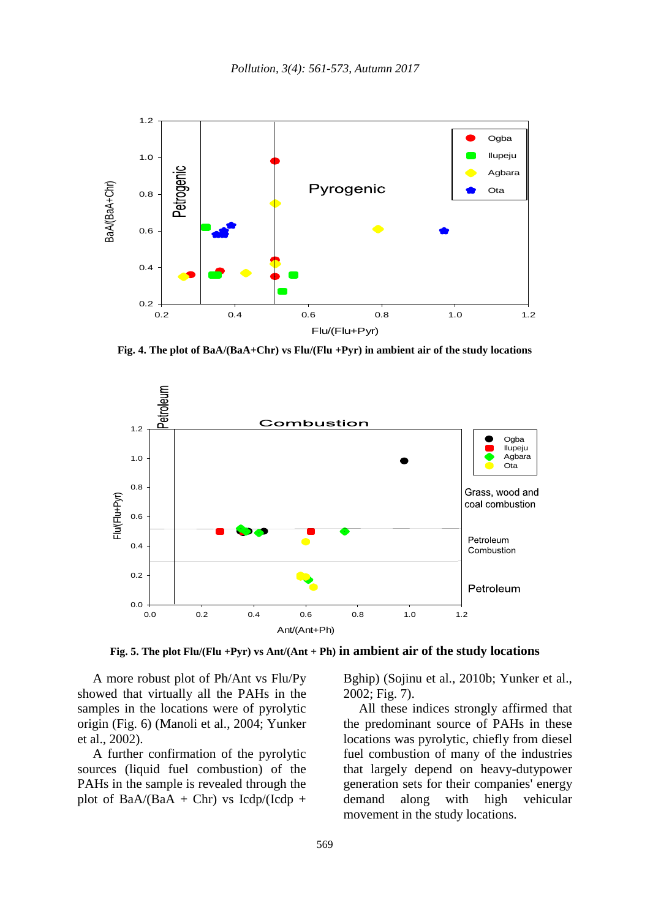

**Fig. 4. The plot of BaA/(BaA+Chr) vs Flu/(Flu +Pyr) in ambient air of the study locations**



**Fig. 5. The plot Flu/(Flu +Pyr) vs Ant/(Ant + Ph) in ambient air of the study locations**

A more robust plot of Ph/Ant vs Flu/Py showed that virtually all the PAHs in the samples in the locations were of pyrolytic origin (Fig. 6) (Manoli et al., 2004; Yunker et al., 2002).

A further confirmation of the pyrolytic sources (liquid fuel combustion) of the PAHs in the sample is revealed through the plot of BaA/(BaA + Chr) vs Icdp/(Icdp + Bghip) (Sojinu et al., 2010b; Yunker et al., 2002; Fig. 7).

All these indices strongly affirmed that the predominant source of PAHs in these locations was pyrolytic, chiefly from diesel fuel combustion of many of the industries that largely depend on heavy-dutypower generation sets for their companies' energy demand along with high vehicular movement in the study locations.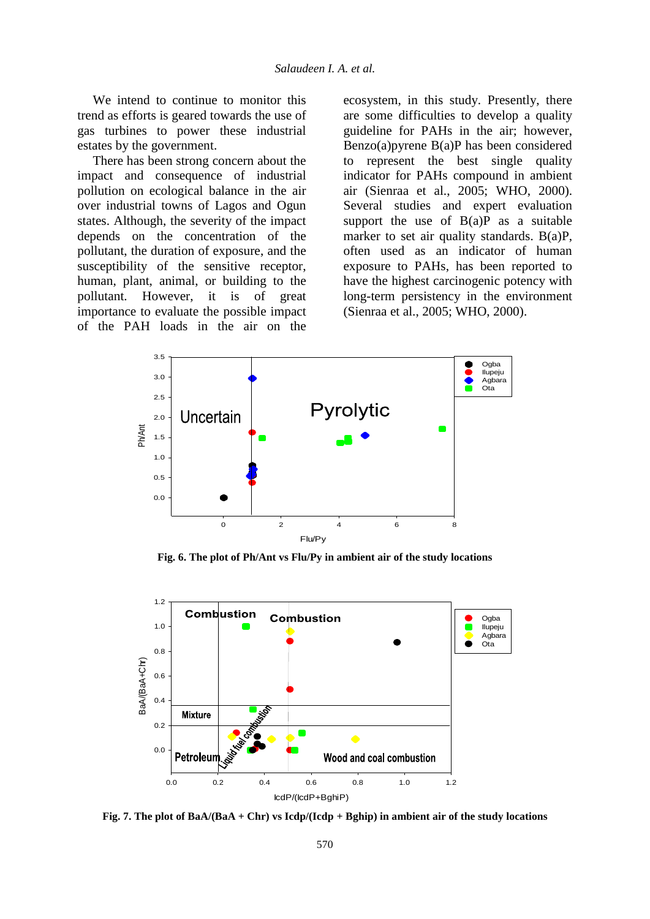We intend to continue to monitor this trend as efforts is geared towards the use of gas turbines to power these industrial estates by the government.

There has been strong concern about the impact and consequence of industrial pollution on ecological balance in the air over industrial towns of Lagos and Ogun states. Although, the severity of the impact depends on the concentration of the pollutant, the duration of exposure, and the susceptibility of the sensitive receptor, human, plant, animal, or building to the pollutant. However, it is of great importance to evaluate the possible impact of the PAH loads in the air on the ecosystem, in this study. Presently, there are some difficulties to develop a quality guideline for PAHs in the air; however, Benzo(a)pyrene B(a)P has been considered to represent the best single quality indicator for PAHs compound in ambient air (Sienraa et al., 2005; WHO, 2000). Several studies and expert evaluation support the use of  $B(a)P$  as a suitable marker to set air quality standards. B(a)P, often used as an indicator of human exposure to PAHs, has been reported to have the highest carcinogenic potency with long-term persistency in the environment (Sienraa et al., 2005; WHO, 2000).



**Fig. 6. The plot of Ph/Ant vs Flu/Py in ambient air of the study locations**



**Fig. 7. The plot of BaA/(BaA + Chr) vs Icdp/(Icdp + Bghip) in ambient air of the study locations**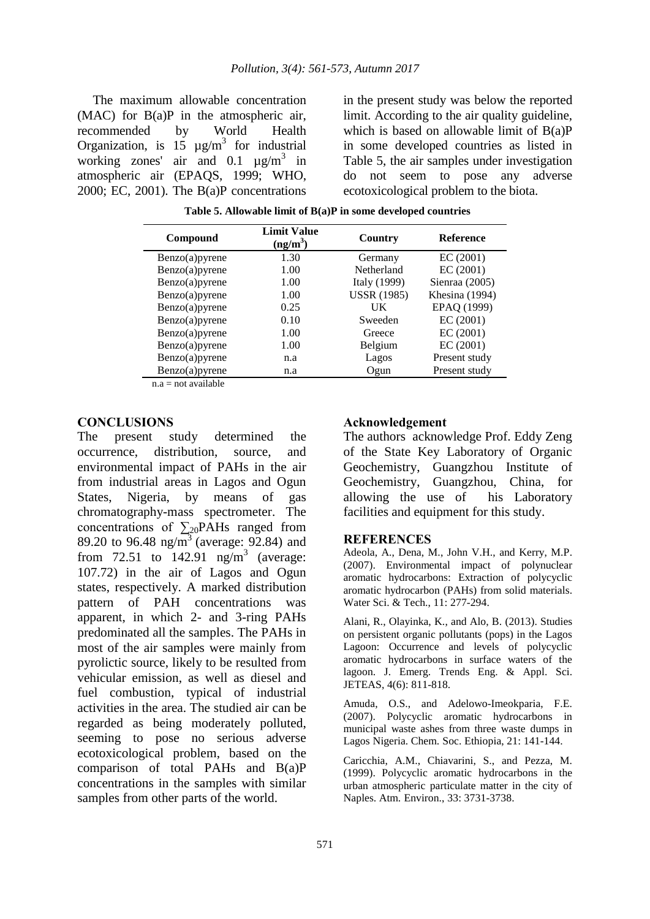The maximum allowable concentration (MAC) for B(a)P in the atmospheric air, recommended by World Health Organization, is 15  $\mu$ g/m<sup>3</sup> for industrial working zones' air and  $0.1 \mu g/m^3$  in atmospheric air (EPAQS, 1999; WHO, 2000; EC, 2001). The B(a)P concentrations

in the present study was below the reported limit. According to the air quality guideline, which is based on allowable limit of  $B(a)P$ in some developed countries as listed in Table 5, the air samples under investigation do not seem to pose any adverse ecotoxicological problem to the biota.

| 1.30<br>EC(2001)<br>Benzo(a) pyrene<br>Germany                    |  |
|-------------------------------------------------------------------|--|
|                                                                   |  |
| EC (2001)<br>$Benzo(a)$ pyrene<br>1.00<br>Netherland              |  |
| Sienraa (2005)<br>Italy (1999)<br>1.00<br>$Benzo(a)$ pyrene       |  |
| <b>USSR</b> (1985)<br>Khesina (1994)<br>1.00<br>$Benzo(a)$ pyrene |  |
| EPAQ (1999)<br>Benzo(a)pyrene<br>0.25<br><b>UK</b>                |  |
| EC(2001)<br>0.10<br>$Benzo(a)$ pyrene<br>Sweeden                  |  |
| EC(2001)<br>1.00<br>$Benzo(a)$ pyrene<br>Greece                   |  |
| EC(2001)<br>1.00<br>$Benzo(a)$ pyrene<br>Belgium                  |  |
| Present study<br>$Benzo(a)$ pyrene<br>Lagos<br>n.a                |  |
| $Benzo(a)$ pyrene<br>Present study<br>Ogun<br>n.a                 |  |

 **Table 5. Allowable limit of B(a)P in some developed countries**

 $n.a = not available$ 

### **CONCLUSIONS**

The present study determined the occurrence, distribution, source, and environmental impact of PAHs in the air from industrial areas in Lagos and Ogun States, Nigeria, by means of gas chromatography-mass spectrometer. The concentrations of  $\Sigma_{20}$ PAHs ranged from 89.20 to 96.48 ng/m<sup>3</sup> (average: 92.84) and from 72.51 to  $142.91$  ng/m<sup>3</sup> (average: 107.72) in the air of Lagos and Ogun states, respectively. A marked distribution pattern of PAH concentrations was apparent, in which 2- and 3-ring PAHs predominated all the samples. The PAHs in most of the air samples were mainly from pyrolictic source, likely to be resulted from vehicular emission, as well as diesel and fuel combustion, typical of industrial activities in the area. The studied air can be regarded as being moderately polluted, seeming to pose no serious adverse ecotoxicological problem, based on the comparison of total PAHs and B(a)P concentrations in the samples with similar samples from other parts of the world.

### **Acknowledgement**

The authors acknowledge Prof. Eddy Zeng of the State Key Laboratory of Organic Geochemistry, Guangzhou Institute of Geochemistry, Guangzhou, China, for allowing the use of his Laboratory facilities and equipment for this study.

#### **REFERENCES**

Adeola, A., Dena, M., John V.H., and Kerry, M.P. (2007). Environmental impact of polynuclear aromatic hydrocarbons: Extraction of polycyclic aromatic hydrocarbon (PAHs) from solid materials. Water Sci. & Tech., 11: 277-294.

Alani, R., Olayinka, K., and Alo, B. (2013). Studies on persistent organic pollutants (pops) in the Lagos Lagoon: Occurrence and levels of polycyclic aromatic hydrocarbons in surface waters of the lagoon. J. Emerg. Trends Eng. & Appl. Sci. JETEAS, 4(6): 811-818.

Amuda, O.S., and Adelowo-Imeokparia, F.E. (2007). Polycyclic aromatic hydrocarbons in municipal waste ashes from three waste dumps in Lagos Nigeria. Chem. Soc. Ethiopia, 21: 141-144.

Caricchia, A.M., Chiavarini, S., and Pezza, M. (1999). Polycyclic aromatic hydrocarbons in the urban atmospheric particulate matter in the city of Naples. Atm. Environ., 33: 3731-3738.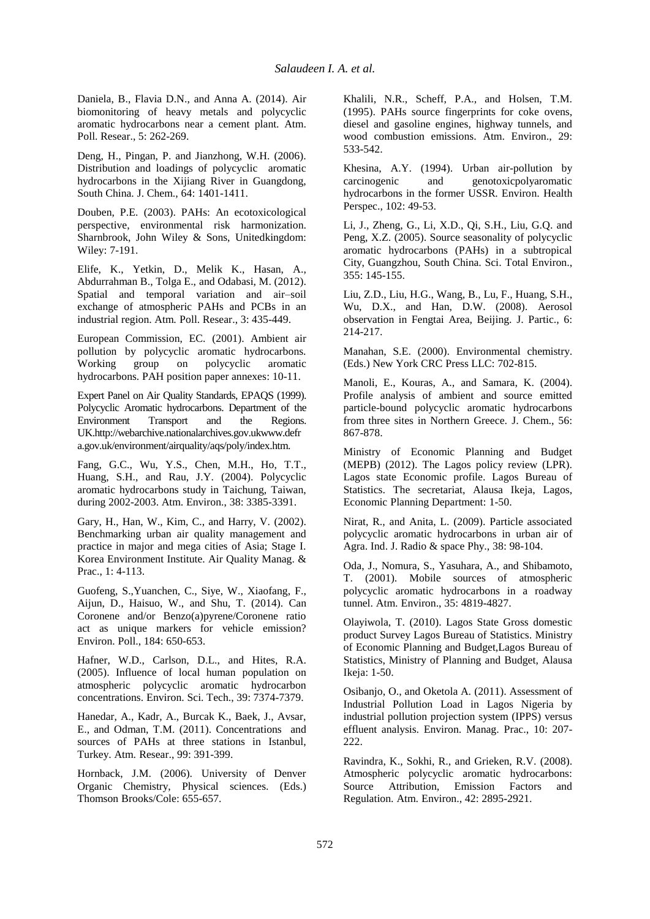Daniela, B., Flavia D.N., and Anna A. (2014). Air biomonitoring of heavy metals and polycyclic aromatic hydrocarbons near a cement plant. Atm. Poll. Resear., 5: 262-269.

Deng, H., Pingan, P. and Jianzhong, W.H. (2006). Distribution and loadings of polycyclic aromatic hydrocarbons in the Xijiang River in Guangdong, South China. J. Chem., 64: 1401-1411.

Douben, P.E. (2003). PAHs: An ecotoxicological perspective, environmental risk harmonization. Sharnbrook, John Wiley & Sons, Unitedkingdom: Wiley: 7-191.

Elife, K., Yetkin, D., Melik K., Hasan, A., Abdurrahman B., Tolga E., and Odabasi, M. (2012). Spatial and temporal variation and air–soil exchange of atmospheric PAHs and PCBs in an industrial region. Atm. Poll. Resear., 3: 435-449.

European Commission, EC. (2001). Ambient air pollution by polycyclic aromatic hydrocarbons. Working group on polycyclic aromatic hydrocarbons. PAH position paper annexes: 10-11.

Expert Panel on Air Quality Standards, EPAQS (1999). Polycyclic Aromatic hydrocarbons. Department of the Environment Transport and the Regions. UK.http://webarchive.nationalarchives.gov.ukwww.defr a.gov.uk/environment/airquality/aqs/poly/index.htm.

Fang, G.C., Wu, Y.S., Chen, M.H., Ho, T.T., Huang, S.H., and Rau, J.Y. (2004). Polycyclic aromatic hydrocarbons study in Taichung, Taiwan, during 2002-2003. Atm. Environ., 38: 3385-3391.

Gary, H., Han, W., Kim, C., and Harry, V. (2002). Benchmarking urban air quality management and practice in major and mega cities of Asia; Stage I. Korea Environment Institute. Air Quality Manag. & Prac., 1: 4-113.

Guofeng, S.,Yuanchen, C., Siye, W., Xiaofang, F., Aijun, D., Haisuo, W., and Shu, T. (2014). Can Coronene and/or Benzo(a)pyrene/Coronene ratio act as unique markers for vehicle emission? Environ. Poll., 184: 650-653.

Hafner, W.D., Carlson, D.L., and Hites, R.A. (2005). Influence of local human population on atmospheric polycyclic aromatic hydrocarbon concentrations. Environ. Sci. Tech., 39: 7374-7379.

<span id="page-11-0"></span>Hanedar, A., Kadr, A., Burcak K., Baek, J., Avsar, E., and Odman, T.M. (2011). Concentrations and sources of PAHs at three stations in Istanbul, Turkey. Atm. Resear., 99: 391-399.

Hornback, J.M. (2006). University of Denver Organic Chemistry, Physical sciences. (Eds.) Thomson Brooks/Cole: 655-657.

Khalili, N.R., Scheff, P.A., and Holsen, T.M. (1995). PAHs source fingerprints for coke ovens, diesel and gasoline engines, highway tunnels, and wood combustion emissions. Atm. Environ., 29: 533-542.

Khesina, A.Y. (1994). Urban air-pollution by carcinogenic and genotoxicpolyaromatic hydrocarbons in the former USSR. Environ. Health Perspec., 102: 49-53.

Li, J., Zheng, G., Li, X.D., Qi, S.H., Liu, G.Q. and Peng, X.Z. (2005). Source seasonality of polycyclic aromatic hydrocarbons (PAHs) in a subtropical City, Guangzhou, South China. Sci. Total Environ., 355: 145-155.

Liu, Z.D., Liu, H.G., Wang, B., Lu, F., Huang, S.H., Wu, D.X., and Han, D.W. (2008). Aerosol observation in Fengtai Area, Beijing. J. Partic., 6: 214-217.

Manahan, S.E. (2000). Environmental chemistry. (Eds.) New York CRC Press LLC: 702-815.

Manoli, E., Kouras, A., and Samara, K. (2004). Profile analysis of ambient and source emitted particle-bound polycyclic aromatic hydrocarbons from three sites in Northern Greece. J. Chem., 56: 867-878.

Ministry of Economic Planning and Budget (MEPB) (2012). The Lagos policy review (LPR). Lagos state Economic profile. Lagos Bureau of Statistics. The secretariat, Alausa Ikeja, Lagos, Economic Planning Department: 1-50.

Nirat, R., and Anita, L. (2009). Particle associated polycyclic aromatic hydrocarbons in urban air of Agra. Ind. J. Radio & space Phy., 38: 98-104.

Oda, J., Nomura, S., Yasuhara, A., and Shibamoto, T. (2001). Mobile sources of atmospheric polycyclic aromatic hydrocarbons in a roadway tunnel. Atm. Environ., 35: 4819-4827.

Olayiwola, T. (2010). Lagos State Gross domestic product Survey Lagos Bureau of Statistics. Ministry of Economic Planning and Budget,Lagos Bureau of Statistics, Ministry of Planning and Budget, Alausa Ikeja: 1-50.

Osibanjo, O., and Oketola A. (2011). Assessment of Industrial Pollution Load in Lagos Nigeria by industrial pollution projection system (IPPS) versus effluent analysis. Environ. Manag. Prac., 10: 207- 222.

Ravindra, K., Sokhi, R., and Grieken, R.V. (2008). Atmospheric polycyclic aromatic hydrocarbons: Source Attribution, Emission Factors and Regulation. Atm. Environ., 42: 2895-2921.